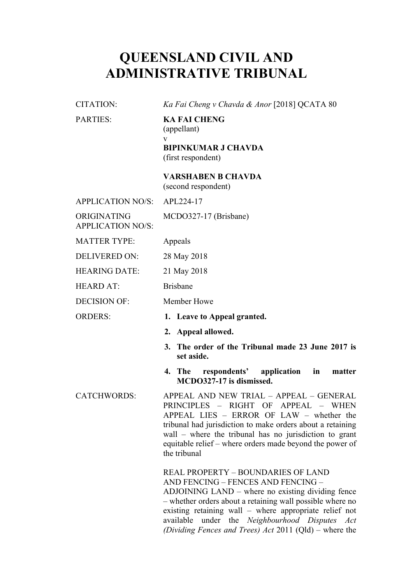## **QUEENSLAND CIVIL AND ADMINISTRATIVE TRIBUNAL**

CITATION: *Ka Fai Cheng v Chavda & Anor* [2018] QCATA 80

PARTIES: **KA FAI CHENG** (appellant) v **BIPINKUMAR J CHAVDA** (first respondent)

> **VARSHABEN B CHAVDA** (second respondent)

| <b>APPLICATION NO/S:</b>                | APL224-17                                                                                                                                                                                                                                                                                                                                                               |
|-----------------------------------------|-------------------------------------------------------------------------------------------------------------------------------------------------------------------------------------------------------------------------------------------------------------------------------------------------------------------------------------------------------------------------|
| ORIGINATING<br><b>APPLICATION NO/S:</b> | MCDO327-17 (Brisbane)                                                                                                                                                                                                                                                                                                                                                   |
| <b>MATTER TYPE:</b>                     | Appeals                                                                                                                                                                                                                                                                                                                                                                 |
| <b>DELIVERED ON:</b>                    | 28 May 2018                                                                                                                                                                                                                                                                                                                                                             |
| <b>HEARING DATE:</b>                    | 21 May 2018                                                                                                                                                                                                                                                                                                                                                             |
| <b>HEARD AT:</b>                        | <b>Brisbane</b>                                                                                                                                                                                                                                                                                                                                                         |
| <b>DECISION OF:</b>                     | Member Howe                                                                                                                                                                                                                                                                                                                                                             |
| <b>ORDERS:</b>                          | 1. Leave to Appeal granted.                                                                                                                                                                                                                                                                                                                                             |
|                                         | 2. Appeal allowed.                                                                                                                                                                                                                                                                                                                                                      |
|                                         | 3. The order of the Tribunal made 23 June 2017 is<br>set aside.                                                                                                                                                                                                                                                                                                         |
|                                         | 4. The<br>respondents' application<br>$\mathbf{in}$<br>matter<br>MCDO327-17 is dismissed.                                                                                                                                                                                                                                                                               |
| <b>CATCHWORDS:</b>                      | APPEAL AND NEW TRIAL - APPEAL - GENERAL<br>PRINCIPLES - RIGHT OF<br>APPEAL - WHEN<br>APPEAL LIES - ERROR OF LAW - whether the<br>tribunal had jurisdiction to make orders about a retaining<br>wall - where the tribunal has no jurisdiction to grant<br>equitable relief – where orders made beyond the power of<br>the tribunal                                       |
|                                         | <b>REAL PROPERTY - BOUNDARIES OF LAND</b><br>AND FENCING - FENCES AND FENCING -<br>ADJOINING LAND – where no existing dividing fence<br>- whether orders about a retaining wall possible where no<br>existing retaining wall – where appropriate relief not<br>available under the Neighbourhood Disputes Act<br>(Dividing Fences and Trees) Act 2011 (Qld) – where the |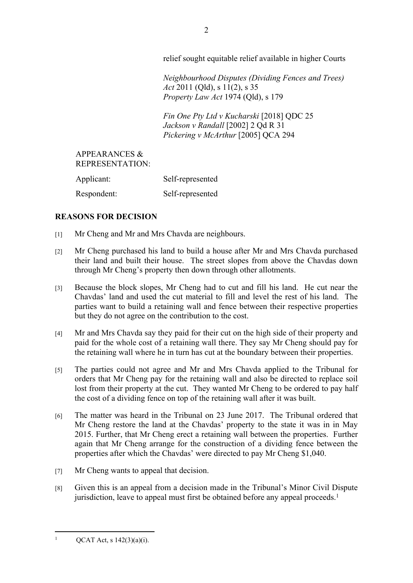relief sought equitable relief available in higher Courts

*Neighbourhood Disputes (Dividing Fences and Trees) Act* 2011 (Qld), s 11(2), s 35 *Property Law Act* 1974 (Qld), s 179

*Fin One Pty Ltd v Kucharski* [2018] QDC 25 *Jackson v Randall* [2002] 2 Qd R 31 *Pickering v McArthur* [2005] QCA 294

## APPEARANCES & REPRESENTATION: Applicant: Self-represented Respondent: Self-represented

## **REASONS FOR DECISION**

- [1] Mr Cheng and Mr and Mrs Chavda are neighbours.
- [2] Mr Cheng purchased his land to build a house after Mr and Mrs Chavda purchased their land and built their house. The street slopes from above the Chavdas down through Mr Cheng's property then down through other allotments.
- [3] Because the block slopes, Mr Cheng had to cut and fill his land. He cut near the Chavdas' land and used the cut material to fill and level the rest of his land. The parties want to build a retaining wall and fence between their respective properties but they do not agree on the contribution to the cost.
- [4] Mr and Mrs Chavda say they paid for their cut on the high side of their property and paid for the whole cost of a retaining wall there. They say Mr Cheng should pay for the retaining wall where he in turn has cut at the boundary between their properties.
- [5] The parties could not agree and Mr and Mrs Chavda applied to the Tribunal for orders that Mr Cheng pay for the retaining wall and also be directed to replace soil lost from their property at the cut. They wanted Mr Cheng to be ordered to pay half the cost of a dividing fence on top of the retaining wall after it was built.
- [6] The matter was heard in the Tribunal on 23 June 2017. The Tribunal ordered that Mr Cheng restore the land at the Chavdas' property to the state it was in in May 2015. Further, that Mr Cheng erect a retaining wall between the properties. Further again that Mr Cheng arrange for the construction of a dividing fence between the properties after which the Chavdas' were directed to pay Mr Cheng \$1,040.
- [7] Mr Cheng wants to appeal that decision.
- [8] Given this is an appeal from a decision made in the Tribunal's Minor Civil Dispute jurisdiction, leave to appeal must first be obtained before any appeal proceeds.<sup>1</sup>

1

QCAT Act, s 142(3)(a)(i).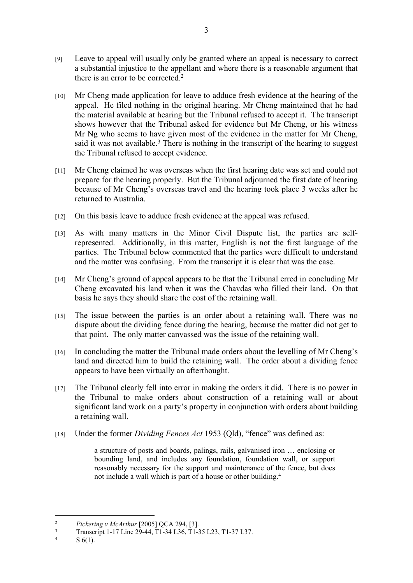- [9] Leave to appeal will usually only be granted where an appeal is necessary to correct a substantial injustice to the appellant and where there is a reasonable argument that there is an error to be corrected.<sup>2</sup>
- [10] Mr Cheng made application for leave to adduce fresh evidence at the hearing of the appeal. He filed nothing in the original hearing. Mr Cheng maintained that he had the material available at hearing but the Tribunal refused to accept it. The transcript shows however that the Tribunal asked for evidence but Mr Cheng, or his witness Mr Ng who seems to have given most of the evidence in the matter for Mr Cheng, said it was not available.<sup>3</sup> There is nothing in the transcript of the hearing to suggest the Tribunal refused to accept evidence.
- [11] Mr Cheng claimed he was overseas when the first hearing date was set and could not prepare for the hearing properly. But the Tribunal adjourned the first date of hearing because of Mr Cheng's overseas travel and the hearing took place 3 weeks after he returned to Australia.
- [12] On this basis leave to adduce fresh evidence at the appeal was refused.
- [13] As with many matters in the Minor Civil Dispute list, the parties are selfrepresented. Additionally, in this matter, English is not the first language of the parties. The Tribunal below commented that the parties were difficult to understand and the matter was confusing. From the transcript it is clear that was the case.
- [14] Mr Cheng's ground of appeal appears to be that the Tribunal erred in concluding Mr Cheng excavated his land when it was the Chavdas who filled their land. On that basis he says they should share the cost of the retaining wall.
- [15] The issue between the parties is an order about a retaining wall. There was no dispute about the dividing fence during the hearing, because the matter did not get to that point. The only matter canvassed was the issue of the retaining wall.
- [16] In concluding the matter the Tribunal made orders about the levelling of Mr Cheng's land and directed him to build the retaining wall. The order about a dividing fence appears to have been virtually an afterthought.
- [17] The Tribunal clearly fell into error in making the orders it did. There is no power in the Tribunal to make orders about construction of a retaining wall or about significant land work on a party's property in conjunction with orders about building a retaining wall.
- [18] Under the former *Dividing Fences Act* 1953 (Old), "fence" was defined as:

a structure of posts and boards, palings, rails, galvanised iron … enclosing or bounding land, and includes any foundation, foundation wall, or support reasonably necessary for the support and maintenance of the fence, but does not include a wall which is part of a house or other building.<sup>4</sup>

<sup>2</sup> *Pickering v McArthur* [2005] QCA 294, [3].

<sup>3</sup> Transcript 1-17 Line 29-44, T1-34 L36, T1-35 L23, T1-37 L37.

<sup>4</sup> S 6(1).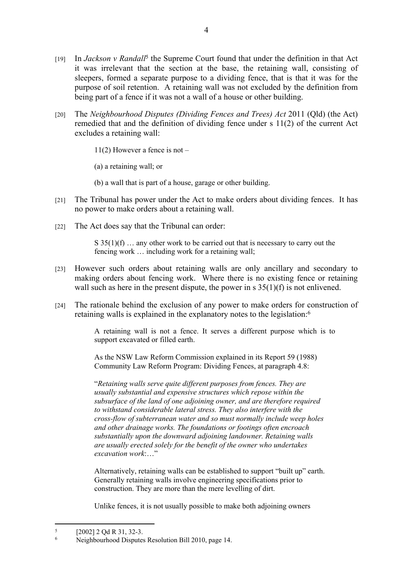- [19] In *Jackson v Randall<sup>5</sup>* the Supreme Court found that under the definition in that Act it was irrelevant that the section at the base, the retaining wall, consisting of sleepers, formed a separate purpose to a dividing fence, that is that it was for the purpose of soil retention. A retaining wall was not excluded by the definition from being part of a fence if it was not a wall of a house or other building.
- [20] The *Neighbourhood Disputes (Dividing Fences and Trees) Act* 2011 (Qld) (the Act) remedied that and the definition of dividing fence under s 11(2) of the current Act excludes a retaining wall:

11(2) However a fence is not –

(a) a retaining wall; or

- (b) a wall that is part of a house, garage or other building.
- [21] The Tribunal has power under the Act to make orders about dividing fences. It has no power to make orders about a retaining wall.
- [22] The Act does say that the Tribunal can order:

 $S$  35(1)(f) ... any other work to be carried out that is necessary to carry out the fencing work … including work for a retaining wall;

- [23] However such orders about retaining walls are only ancillary and secondary to making orders about fencing work. Where there is no existing fence or retaining wall such as here in the present dispute, the power in s  $35(1)(f)$  is not enlivened.
- [24] The rationale behind the exclusion of any power to make orders for construction of retaining walls is explained in the explanatory notes to the legislation:<sup>6</sup>

A retaining wall is not a fence. It serves a different purpose which is to support excavated or filled earth.

As the NSW Law Reform Commission explained in its Report 59 (1988) Community Law Reform Program: Dividing Fences, at paragraph 4.8:

"*Retaining walls serve quite different purposes from fences. They are usually substantial and expensive structures which repose within the subsurface of the land of one adjoining owner, and are therefore required to withstand considerable lateral stress. They also interfere with the cross-flow of subterranean water and so must normally include weep holes and other drainage works. The foundations or footings often encroach substantially upon the downward adjoining landowner. Retaining walls are usually erected solely for the benefit of the owner who undertakes excavation work*:…"

Alternatively, retaining walls can be established to support "built up" earth. Generally retaining walls involve engineering specifications prior to construction. They are more than the mere levelling of dirt.

Unlike fences, it is not usually possible to make both adjoining owners

<sup>5</sup> [2002] 2 Qd R 31, 32-3.

<sup>6</sup> Neighbourhood Disputes Resolution Bill 2010, page 14.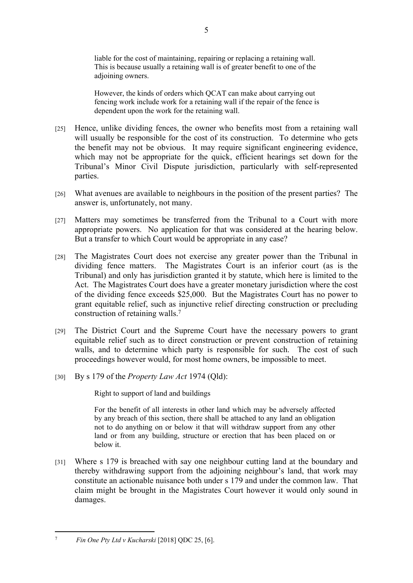liable for the cost of maintaining, repairing or replacing a retaining wall. This is because usually a retaining wall is of greater benefit to one of the adjoining owners.

However, the kinds of orders which QCAT can make about carrying out fencing work include work for a retaining wall if the repair of the fence is dependent upon the work for the retaining wall.

- [25] Hence, unlike dividing fences, the owner who benefits most from a retaining wall will usually be responsible for the cost of its construction. To determine who gets the benefit may not be obvious. It may require significant engineering evidence, which may not be appropriate for the quick, efficient hearings set down for the Tribunal's Minor Civil Dispute jurisdiction, particularly with self-represented parties.
- [26] What avenues are available to neighbours in the position of the present parties? The answer is, unfortunately, not many.
- [27] Matters may sometimes be transferred from the Tribunal to a Court with more appropriate powers. No application for that was considered at the hearing below. But a transfer to which Court would be appropriate in any case?
- [28] The Magistrates Court does not exercise any greater power than the Tribunal in dividing fence matters. The Magistrates Court is an inferior court (as is the Tribunal) and only has jurisdiction granted it by statute, which here is limited to the Act. The Magistrates Court does have a greater monetary jurisdiction where the cost of the dividing fence exceeds \$25,000. But the Magistrates Court has no power to grant equitable relief, such as injunctive relief directing construction or precluding construction of retaining walls.<sup>7</sup>
- [29] The District Court and the Supreme Court have the necessary powers to grant equitable relief such as to direct construction or prevent construction of retaining walls, and to determine which party is responsible for such. The cost of such proceedings however would, for most home owners, be impossible to meet.
- [30] By s 179 of the *Property Law Act* 1974 (Qld):

Right to support of land and buildings

For the benefit of all interests in other land which may be adversely affected by any breach of this section, there shall be attached to any land an obligation not to do anything on or below it that will withdraw support from any other land or from any building, structure or erection that has been placed on or below it.

[31] Where s 179 is breached with say one neighbour cutting land at the boundary and thereby withdrawing support from the adjoining neighbour's land, that work may constitute an actionable nuisance both under s 179 and under the common law. That claim might be brought in the Magistrates Court however it would only sound in damages.

<sup>7</sup> *Fin One Pty Ltd v Kucharski* [2018] QDC 25, [6].